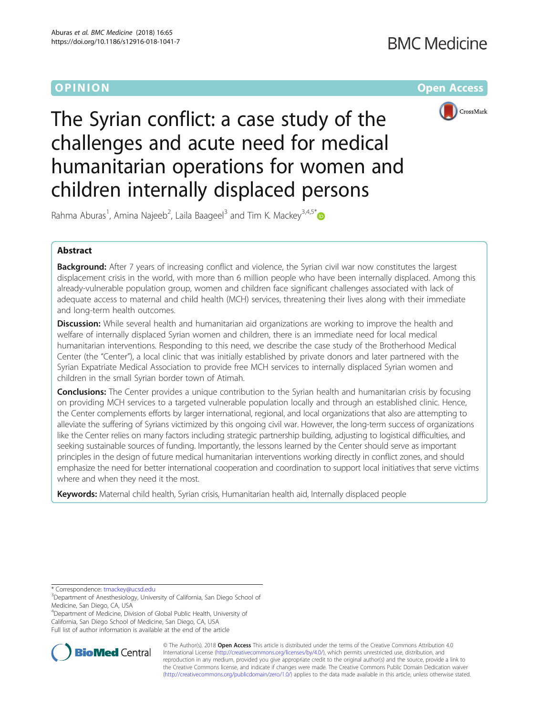# **OPINION** CONTROL CONTROL CONTROL CONTROL CONTROL CONTROL CONTROL CONTROL CONTROL CONTROL CONTROL CONTROL CONTROL



The Syrian conflict: a case study of the challenges and acute need for medical humanitarian operations for women and children internally displaced persons

Rahma Aburas<sup>1</sup>, Amina Najeeb<sup>2</sup>, Laila Baageel<sup>3</sup> and Tim K. Mackey<sup>3,4,5[\\*](http://orcid.org/0000-0002-2191-7833)</sup>

# Abstract

Background: After 7 years of increasing conflict and violence, the Syrian civil war now constitutes the largest displacement crisis in the world, with more than 6 million people who have been internally displaced. Among this already-vulnerable population group, women and children face significant challenges associated with lack of adequate access to maternal and child health (MCH) services, threatening their lives along with their immediate and long-term health outcomes.

**Discussion:** While several health and humanitarian aid organizations are working to improve the health and welfare of internally displaced Syrian women and children, there is an immediate need for local medical humanitarian interventions. Responding to this need, we describe the case study of the Brotherhood Medical Center (the "Center"), a local clinic that was initially established by private donors and later partnered with the Syrian Expatriate Medical Association to provide free MCH services to internally displaced Syrian women and children in the small Syrian border town of Atimah.

**Conclusions:** The Center provides a unique contribution to the Syrian health and humanitarian crisis by focusing on providing MCH services to a targeted vulnerable population locally and through an established clinic. Hence, the Center complements efforts by larger international, regional, and local organizations that also are attempting to alleviate the suffering of Syrians victimized by this ongoing civil war. However, the long-term success of organizations like the Center relies on many factors including strategic partnership building, adjusting to logistical difficulties, and seeking sustainable sources of funding. Importantly, the lessons learned by the Center should serve as important principles in the design of future medical humanitarian interventions working directly in conflict zones, and should emphasize the need for better international cooperation and coordination to support local initiatives that serve victims where and when they need it the most.

Keywords: Maternal child health, Syrian crisis, Humanitarian health aid, Internally displaced people

\* Correspondence: [tmackey@ucsd.edu](mailto:tmackey@ucsd.edu) <sup>3</sup>

4 Department of Medicine, Division of Global Public Health, University of California, San Diego School of Medicine, San Diego, CA, USA Full list of author information is available at the end of the article



© The Author(s). 2018 Open Access This article is distributed under the terms of the Creative Commons Attribution 4.0 International License [\(http://creativecommons.org/licenses/by/4.0/](http://creativecommons.org/licenses/by/4.0/)), which permits unrestricted use, distribution, and reproduction in any medium, provided you give appropriate credit to the original author(s) and the source, provide a link to the Creative Commons license, and indicate if changes were made. The Creative Commons Public Domain Dedication waiver [\(http://creativecommons.org/publicdomain/zero/1.0/](http://creativecommons.org/publicdomain/zero/1.0/)) applies to the data made available in this article, unless otherwise stated.

Department of Anesthesiology, University of California, San Diego School of Medicine, San Diego, CA, USA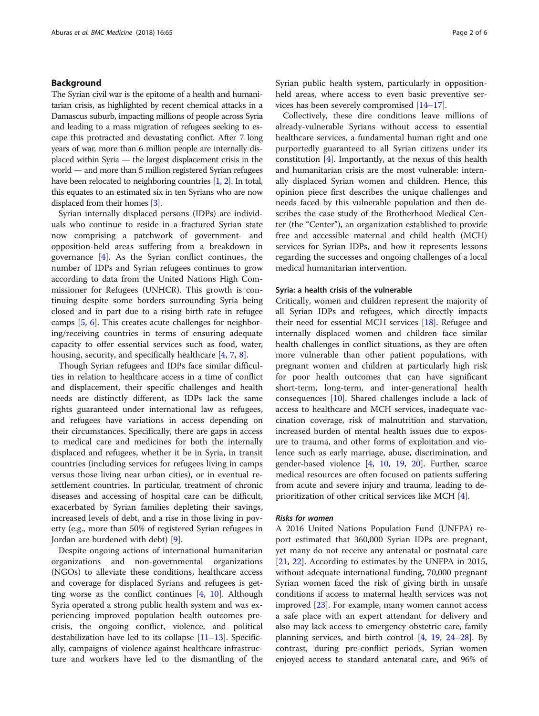# Background

The Syrian civil war is the epitome of a health and humanitarian crisis, as highlighted by recent chemical attacks in a Damascus suburb, impacting millions of people across Syria and leading to a mass migration of refugees seeking to escape this protracted and devastating conflict. After 7 long years of war, more than 6 million people are internally displaced within Syria — the largest displacement crisis in the world — and more than 5 million registered Syrian refugees have been relocated to neighboring countries [\[1](#page-5-0), [2](#page-5-0)]. In total, this equates to an estimated six in ten Syrians who are now displaced from their homes [\[3](#page-5-0)].

Syrian internally displaced persons (IDPs) are individuals who continue to reside in a fractured Syrian state now comprising a patchwork of government- and opposition-held areas suffering from a breakdown in governance [[4\]](#page-5-0). As the Syrian conflict continues, the number of IDPs and Syrian refugees continues to grow according to data from the United Nations High Commissioner for Refugees (UNHCR). This growth is continuing despite some borders surrounding Syria being closed and in part due to a rising birth rate in refugee camps [\[5](#page-5-0), [6](#page-5-0)]. This creates acute challenges for neighboring/receiving countries in terms of ensuring adequate capacity to offer essential services such as food, water, housing, security, and specifically healthcare [\[4](#page-5-0), [7](#page-5-0), [8](#page-5-0)].

Though Syrian refugees and IDPs face similar difficulties in relation to healthcare access in a time of conflict and displacement, their specific challenges and health needs are distinctly different, as IDPs lack the same rights guaranteed under international law as refugees, and refugees have variations in access depending on their circumstances. Specifically, there are gaps in access to medical care and medicines for both the internally displaced and refugees, whether it be in Syria, in transit countries (including services for refugees living in camps versus those living near urban cities), or in eventual resettlement countries. In particular, treatment of chronic diseases and accessing of hospital care can be difficult, exacerbated by Syrian families depleting their savings, increased levels of debt, and a rise in those living in poverty (e.g., more than 50% of registered Syrian refugees in Jordan are burdened with debt) [[9\]](#page-5-0).

Despite ongoing actions of international humanitarian organizations and non-governmental organizations (NGOs) to alleviate these conditions, healthcare access and coverage for displaced Syrians and refugees is getting worse as the conflict continues  $[4, 10]$  $[4, 10]$  $[4, 10]$ . Although Syria operated a strong public health system and was experiencing improved population health outcomes precrisis, the ongoing conflict, violence, and political destabilization have led to its collapse  $[11-13]$  $[11-13]$  $[11-13]$ . Specifically, campaigns of violence against healthcare infrastructure and workers have led to the dismantling of the Syrian public health system, particularly in oppositionheld areas, where access to even basic preventive services has been severely compromised [\[14](#page-5-0)–[17\]](#page-5-0).

Collectively, these dire conditions leave millions of already-vulnerable Syrians without access to essential healthcare services, a fundamental human right and one purportedly guaranteed to all Syrian citizens under its constitution [[4\]](#page-5-0). Importantly, at the nexus of this health and humanitarian crisis are the most vulnerable: internally displaced Syrian women and children. Hence, this opinion piece first describes the unique challenges and needs faced by this vulnerable population and then describes the case study of the Brotherhood Medical Center (the "Center"), an organization established to provide free and accessible maternal and child health (MCH) services for Syrian IDPs, and how it represents lessons regarding the successes and ongoing challenges of a local medical humanitarian intervention.

### Syria: a health crisis of the vulnerable

Critically, women and children represent the majority of all Syrian IDPs and refugees, which directly impacts their need for essential MCH services [\[18\]](#page-5-0). Refugee and internally displaced women and children face similar health challenges in conflict situations, as they are often more vulnerable than other patient populations, with pregnant women and children at particularly high risk for poor health outcomes that can have significant short-term, long-term, and inter-generational health consequences [\[10](#page-5-0)]. Shared challenges include a lack of access to healthcare and MCH services, inadequate vaccination coverage, risk of malnutrition and starvation, increased burden of mental health issues due to exposure to trauma, and other forms of exploitation and violence such as early marriage, abuse, discrimination, and gender-based violence [[4,](#page-5-0) [10](#page-5-0), [19](#page-5-0), [20\]](#page-5-0). Further, scarce medical resources are often focused on patients suffering from acute and severe injury and trauma, leading to deprioritization of other critical services like MCH [[4\]](#page-5-0).

# Risks for women

A 2016 United Nations Population Fund (UNFPA) report estimated that 360,000 Syrian IDPs are pregnant, yet many do not receive any antenatal or postnatal care [[21,](#page-5-0) [22](#page-5-0)]. According to estimates by the UNFPA in 2015, without adequate international funding, 70,000 pregnant Syrian women faced the risk of giving birth in unsafe conditions if access to maternal health services was not improved [[23\]](#page-5-0). For example, many women cannot access a safe place with an expert attendant for delivery and also may lack access to emergency obstetric care, family planning services, and birth control [[4,](#page-5-0) [19](#page-5-0), [24](#page-5-0)–[28\]](#page-5-0). By contrast, during pre-conflict periods, Syrian women enjoyed access to standard antenatal care, and 96% of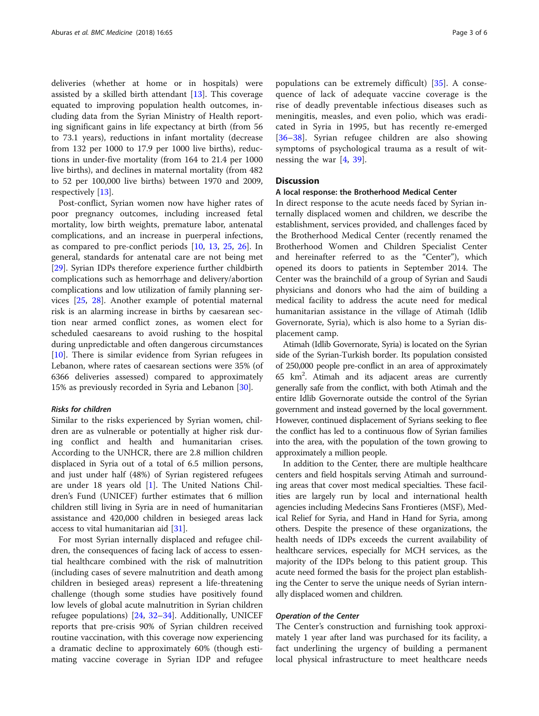deliveries (whether at home or in hospitals) were assisted by a skilled birth attendant [[13\]](#page-5-0). This coverage equated to improving population health outcomes, including data from the Syrian Ministry of Health reporting significant gains in life expectancy at birth (from 56 to 73.1 years), reductions in infant mortality (decrease from 132 per 1000 to 17.9 per 1000 live births), reductions in under-five mortality (from 164 to 21.4 per 1000 live births), and declines in maternal mortality (from 482 to 52 per 100,000 live births) between 1970 and 2009, respectively [\[13](#page-5-0)].

Post-conflict, Syrian women now have higher rates of poor pregnancy outcomes, including increased fetal mortality, low birth weights, premature labor, antenatal complications, and an increase in puerperal infections, as compared to pre-conflict periods [[10](#page-5-0), [13](#page-5-0), [25](#page-5-0), [26](#page-5-0)]. In general, standards for antenatal care are not being met [[29\]](#page-5-0). Syrian IDPs therefore experience further childbirth complications such as hemorrhage and delivery/abortion complications and low utilization of family planning services [[25](#page-5-0), [28\]](#page-5-0). Another example of potential maternal risk is an alarming increase in births by caesarean section near armed conflict zones, as women elect for scheduled caesareans to avoid rushing to the hospital during unpredictable and often dangerous circumstances [[10\]](#page-5-0). There is similar evidence from Syrian refugees in Lebanon, where rates of caesarean sections were 35% (of 6366 deliveries assessed) compared to approximately 15% as previously recorded in Syria and Lebanon [[30](#page-5-0)].

# Risks for children

Similar to the risks experienced by Syrian women, children are as vulnerable or potentially at higher risk during conflict and health and humanitarian crises. According to the UNHCR, there are 2.8 million children displaced in Syria out of a total of 6.5 million persons, and just under half (48%) of Syrian registered refugees are under 18 years old [\[1](#page-5-0)]. The United Nations Children's Fund (UNICEF) further estimates that 6 million children still living in Syria are in need of humanitarian assistance and 420,000 children in besieged areas lack access to vital humanitarian aid [\[31\]](#page-5-0).

For most Syrian internally displaced and refugee children, the consequences of facing lack of access to essential healthcare combined with the risk of malnutrition (including cases of severe malnutrition and death among children in besieged areas) represent a life-threatening challenge (though some studies have positively found low levels of global acute malnutrition in Syrian children refugee populations) [\[24](#page-5-0), [32](#page-5-0)–[34\]](#page-5-0). Additionally, UNICEF reports that pre-crisis 90% of Syrian children received routine vaccination, with this coverage now experiencing a dramatic decline to approximately 60% (though estimating vaccine coverage in Syrian IDP and refugee

populations can be extremely difficult) [[35\]](#page-5-0). A consequence of lack of adequate vaccine coverage is the rise of deadly preventable infectious diseases such as meningitis, measles, and even polio, which was eradicated in Syria in 1995, but has recently re-emerged [[36](#page-5-0)–[38\]](#page-5-0). Syrian refugee children are also showing symptoms of psychological trauma as a result of witnessing the war [[4,](#page-5-0) [39\]](#page-5-0).

# **Discussion**

# A local response: the Brotherhood Medical Center

In direct response to the acute needs faced by Syrian internally displaced women and children, we describe the establishment, services provided, and challenges faced by the Brotherhood Medical Center (recently renamed the Brotherhood Women and Children Specialist Center and hereinafter referred to as the "Center"), which opened its doors to patients in September 2014. The Center was the brainchild of a group of Syrian and Saudi physicians and donors who had the aim of building a medical facility to address the acute need for medical humanitarian assistance in the village of Atimah (Idlib Governorate, Syria), which is also home to a Syrian displacement camp.

Atimah (Idlib Governorate, Syria) is located on the Syrian side of the Syrian-Turkish border. Its population consisted of 250,000 people pre-conflict in an area of approximately 65 km2 . Atimah and its adjacent areas are currently generally safe from the conflict, with both Atimah and the entire Idlib Governorate outside the control of the Syrian government and instead governed by the local government. However, continued displacement of Syrians seeking to flee the conflict has led to a continuous flow of Syrian families into the area, with the population of the town growing to approximately a million people.

In addition to the Center, there are multiple healthcare centers and field hospitals serving Atimah and surrounding areas that cover most medical specialties. These facilities are largely run by local and international health agencies including Medecins Sans Frontieres (MSF), Medical Relief for Syria, and Hand in Hand for Syria, among others. Despite the presence of these organizations, the health needs of IDPs exceeds the current availability of healthcare services, especially for MCH services, as the majority of the IDPs belong to this patient group. This acute need formed the basis for the project plan establishing the Center to serve the unique needs of Syrian internally displaced women and children.

# Operation of the Center

The Center's construction and furnishing took approximately 1 year after land was purchased for its facility, a fact underlining the urgency of building a permanent local physical infrastructure to meet healthcare needs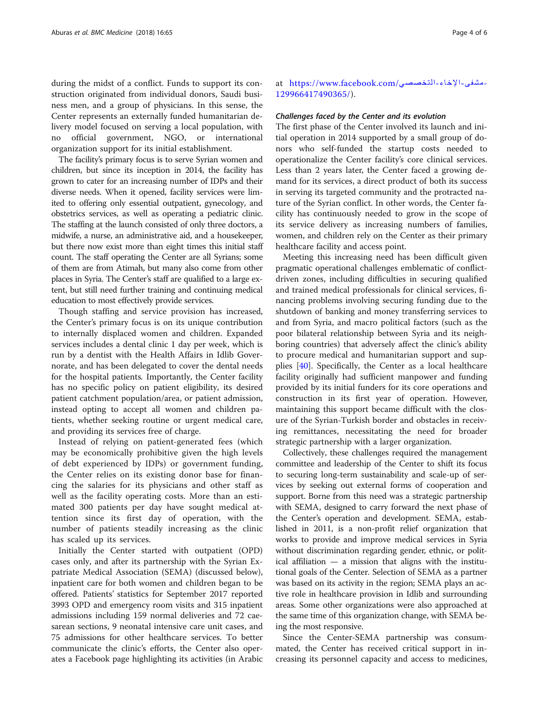during the midst of a conflict. Funds to support its construction originated from individual donors, Saudi business men, and a group of physicians. In this sense, the Center represents an externally funded humanitarian delivery model focused on serving a local population, with no official government, NGO, or international organization support for its initial establishment.

The facility's primary focus is to serve Syrian women and children, but since its inception in 2014, the facility has grown to cater for an increasing number of IDPs and their diverse needs. When it opened, facility services were limited to offering only essential outpatient, gynecology, and obstetrics services, as well as operating a pediatric clinic. The staffing at the launch consisted of only three doctors, a midwife, a nurse, an administrative aid, and a housekeeper, but there now exist more than eight times this initial staff count. The staff operating the Center are all Syrians; some of them are from Atimah, but many also come from other places in Syria. The Center's staff are qualified to a large extent, but still need further training and continuing medical education to most effectively provide services.

Though staffing and service provision has increased, the Center's primary focus is on its unique contribution to internally displaced women and children. Expanded services includes a dental clinic 1 day per week, which is run by a dentist with the Health Affairs in Idlib Governorate, and has been delegated to cover the dental needs for the hospital patients. Importantly, the Center facility has no specific policy on patient eligibility, its desired patient catchment population/area, or patient admission, instead opting to accept all women and children patients, whether seeking routine or urgent medical care, and providing its services free of charge.

Instead of relying on patient-generated fees (which may be economically prohibitive given the high levels of debt experienced by IDPs) or government funding, the Center relies on its existing donor base for financing the salaries for its physicians and other staff as well as the facility operating costs. More than an estimated 300 patients per day have sought medical attention since its first day of operation, with the number of patients steadily increasing as the clinic has scaled up its services.

Initially the Center started with outpatient (OPD) cases only, and after its partnership with the Syrian Expatriate Medical Association (SEMA) (discussed below), inpatient care for both women and children began to be offered. Patients' statistics for September 2017 reported 3993 OPD and emergency room visits and 315 inpatient admissions including 159 normal deliveries and 72 caesarean sections, 9 neonatal intensive care unit cases, and 75 admissions for other healthcare services. To better communicate the clinic's efforts, the Center also operates a Facebook page highlighting its activities (in Arabic at [https://www.facebook.com/](https://www.facebook.com/%D9%85%D8%B4%D9%81%D9%89-%D8%A7%D9%84%D8%A5%D8%AE%D8%A7%D8%A1-%D8%A7%D9%84%D8%AA%D8%AE%D8%B5%D8%B5%D9%8A-129966417490365/.) إخاء[-](https://www.facebook.com/%D9%85%D8%B4%D9%81%D9%89-%D8%A7%D9%84%D8%A5%D8%AE%D8%A7%D8%A1-%D8%A7%D9%84%D8%AA%D8%AE%D8%B5%D8%B5%D9%8A-129966417490365/.)التخصصي [129966417490365/\)](https://www.facebook.com/%D9%85%D8%B4%D9%81%D9%89-%D8%A7%D9%84%D8%A5%D8%AE%D8%A7%D8%A1-%D8%A7%D9%84%D8%AA%D8%AE%D8%B5%D8%B5%D9%8A-129966417490365/.).

## Challenges faced by the Center and its evolution

The first phase of the Center involved its launch and initial operation in 2014 supported by a small group of donors who self-funded the startup costs needed to operationalize the Center facility's core clinical services. Less than 2 years later, the Center faced a growing demand for its services, a direct product of both its success in serving its targeted community and the protracted nature of the Syrian conflict. In other words, the Center facility has continuously needed to grow in the scope of its service delivery as increasing numbers of families, women, and children rely on the Center as their primary healthcare facility and access point.

Meeting this increasing need has been difficult given pragmatic operational challenges emblematic of conflictdriven zones, including difficulties in securing qualified and trained medical professionals for clinical services, financing problems involving securing funding due to the shutdown of banking and money transferring services to and from Syria, and macro political factors (such as the poor bilateral relationship between Syria and its neighboring countries) that adversely affect the clinic's ability to procure medical and humanitarian support and supplies [[40\]](#page-5-0). Specifically, the Center as a local healthcare facility originally had sufficient manpower and funding provided by its initial funders for its core operations and construction in its first year of operation. However, maintaining this support became difficult with the closure of the Syrian-Turkish border and obstacles in receiving remittances, necessitating the need for broader strategic partnership with a larger organization.

Collectively, these challenges required the management committee and leadership of the Center to shift its focus to securing long-term sustainability and scale-up of services by seeking out external forms of cooperation and support. Borne from this need was a strategic partnership with SEMA, designed to carry forward the next phase of the Center's operation and development. SEMA, established in 2011, is a non-profit relief organization that works to provide and improve medical services in Syria without discrimination regarding gender, ethnic, or political affiliation — a mission that aligns with the institutional goals of the Center. Selection of SEMA as a partner was based on its activity in the region; SEMA plays an active role in healthcare provision in Idlib and surrounding areas. Some other organizations were also approached at the same time of this organization change, with SEMA being the most responsive.

Since the Center-SEMA partnership was consummated, the Center has received critical support in increasing its personnel capacity and access to medicines,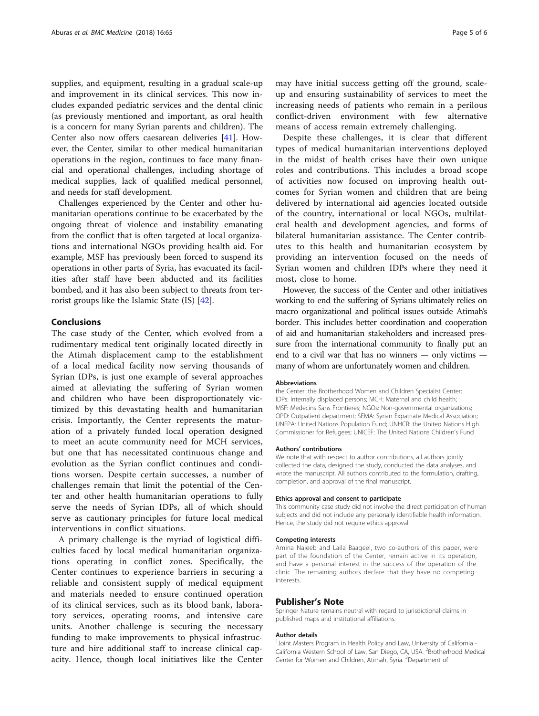supplies, and equipment, resulting in a gradual scale-up and improvement in its clinical services. This now includes expanded pediatric services and the dental clinic (as previously mentioned and important, as oral health is a concern for many Syrian parents and children). The Center also now offers caesarean deliveries [[41\]](#page-5-0). However, the Center, similar to other medical humanitarian operations in the region, continues to face many financial and operational challenges, including shortage of medical supplies, lack of qualified medical personnel, and needs for staff development.

Challenges experienced by the Center and other humanitarian operations continue to be exacerbated by the ongoing threat of violence and instability emanating from the conflict that is often targeted at local organizations and international NGOs providing health aid. For example, MSF has previously been forced to suspend its operations in other parts of Syria, has evacuated its facilities after staff have been abducted and its facilities bombed, and it has also been subject to threats from terrorist groups like the Islamic State (IS) [\[42](#page-5-0)].

# Conclusions

The case study of the Center, which evolved from a rudimentary medical tent originally located directly in the Atimah displacement camp to the establishment of a local medical facility now serving thousands of Syrian IDPs, is just one example of several approaches aimed at alleviating the suffering of Syrian women and children who have been disproportionately victimized by this devastating health and humanitarian crisis. Importantly, the Center represents the maturation of a privately funded local operation designed to meet an acute community need for MCH services, but one that has necessitated continuous change and evolution as the Syrian conflict continues and conditions worsen. Despite certain successes, a number of challenges remain that limit the potential of the Center and other health humanitarian operations to fully serve the needs of Syrian IDPs, all of which should serve as cautionary principles for future local medical interventions in conflict situations.

A primary challenge is the myriad of logistical difficulties faced by local medical humanitarian organizations operating in conflict zones. Specifically, the Center continues to experience barriers in securing a reliable and consistent supply of medical equipment and materials needed to ensure continued operation of its clinical services, such as its blood bank, laboratory services, operating rooms, and intensive care units. Another challenge is securing the necessary funding to make improvements to physical infrastructure and hire additional staff to increase clinical capacity. Hence, though local initiatives like the Center may have initial success getting off the ground, scaleup and ensuring sustainability of services to meet the increasing needs of patients who remain in a perilous conflict-driven environment with few alternative means of access remain extremely challenging.

Despite these challenges, it is clear that different types of medical humanitarian interventions deployed in the midst of health crises have their own unique roles and contributions. This includes a broad scope of activities now focused on improving health outcomes for Syrian women and children that are being delivered by international aid agencies located outside of the country, international or local NGOs, multilateral health and development agencies, and forms of bilateral humanitarian assistance. The Center contributes to this health and humanitarian ecosystem by providing an intervention focused on the needs of Syrian women and children IDPs where they need it most, close to home.

However, the success of the Center and other initiatives working to end the suffering of Syrians ultimately relies on macro organizational and political issues outside Atimah's border. This includes better coordination and cooperation of aid and humanitarian stakeholders and increased pressure from the international community to finally put an end to a civil war that has no winners — only victims many of whom are unfortunately women and children.

#### **Abbreviations**

the Center: the Brotherhood Women and Children Specialist Center; IDPs: Internally displaced persons; MCH: Maternal and child health; MSF: Medecins Sans Frontieres; NGOs: Non-governmental organizations; OPD: Outpatient department; SEMA: Syrian Expatriate Medical Association; UNFPA: United Nations Population Fund; UNHCR: the United Nations High Commissioner for Refugees; UNICEF: The United Nations Children's Fund

#### Authors' contributions

We note that with respect to author contributions, all authors jointly collected the data, designed the study, conducted the data analyses, and wrote the manuscript. All authors contributed to the formulation, drafting, completion, and approval of the final manuscript.

#### Ethics approval and consent to participate

This community case study did not involve the direct participation of human subjects and did not include any personally identifiable health information. Hence, the study did not require ethics approval.

#### Competing interests

Amina Najeeb and Laila Baageel, two co-authors of this paper, were part of the foundation of the Center, remain active in its operation, and have a personal interest in the success of the operation of the clinic. The remaining authors declare that they have no competing interests.

# Publisher's Note

Springer Nature remains neutral with regard to jurisdictional claims in published maps and institutional affiliations.

#### Author details

<sup>1</sup> Joint Masters Program in Health Policy and Law, University of California -California Western School of Law, San Diego, CA, USA. <sup>2</sup>Brotherhood Medical Center for Women and Children, Atimah, Syria. <sup>3</sup>Department of